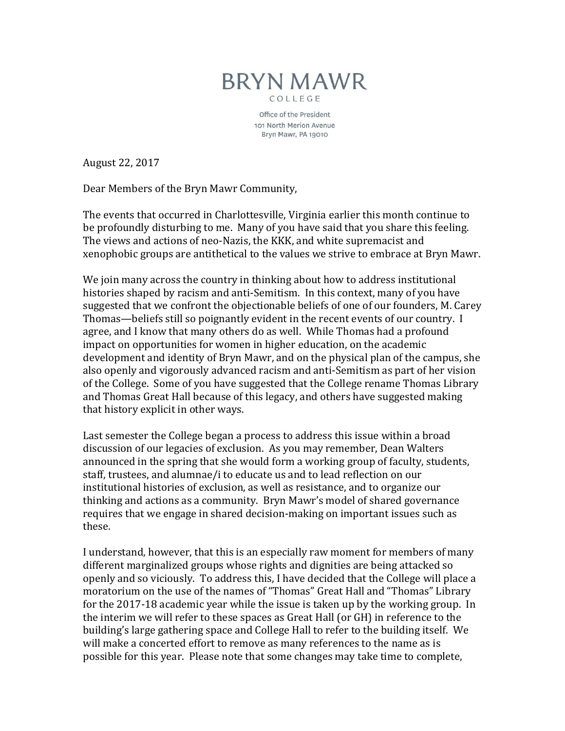

Office of the President 101 North Merion Avenue Bryn Mawr, PA 19010

August 22, 2017

Dear Members of the Bryn Mawr Community,

The events that occurred in Charlottesville, Virginia earlier this month continue to be profoundly disturbing to me. Many of you have said that you share this feeling. The views and actions of neo-Nazis, the KKK, and white supremacist and xenophobic groups are antithetical to the values we strive to embrace at Bryn Mawr.

We join many across the country in thinking about how to address institutional histories shaped by racism and anti-Semitism. In this context, many of you have suggested that we confront the objectionable beliefs of one of our founders, M. Carey Thomas—beliefs still so poignantly evident in the recent events of our country. I agree, and I know that many others do as well. While Thomas had a profound impact on opportunities for women in higher education, on the academic development and identity of Bryn Mawr, and on the physical plan of the campus, she also openly and vigorously advanced racism and anti-Semitism as part of her vision of the College. Some of you have suggested that the College rename Thomas Library and Thomas Great Hall because of this legacy, and others have suggested making that history explicit in other ways.

Last semester the College began a process to address this issue within a broad discussion of our legacies of exclusion. As you may remember, Dean Walters announced in the spring that she would form a working group of faculty, students, staff, trustees, and alumnae/i to educate us and to lead reflection on our institutional histories of exclusion, as well as resistance, and to organize our thinking and actions as a community. Bryn Mawr's model of shared governance requires that we engage in shared decision-making on important issues such as these.

I understand, however, that this is an especially raw moment for members of many different marginalized groups whose rights and dignities are being attacked so openly and so viciously. To address this, I have decided that the College will place a moratorium on the use of the names of "Thomas" Great Hall and "Thomas" Library for the 2017-18 academic year while the issue is taken up by the working group. In the interim we will refer to these spaces as Great Hall (or GH) in reference to the building's large gathering space and College Hall to refer to the building itself. We will make a concerted effort to remove as many references to the name as is possible for this year. Please note that some changes may take time to complete,